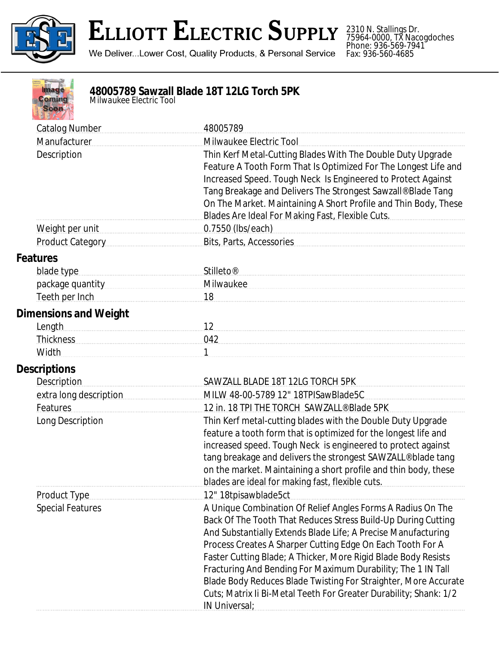

## **ELLIOTT ELECTRIC SUPPLY**

We Deliver...Lower Cost, Quality Products, & Personal Service

2310 N. Stallings Dr. 75964-0000, TX Nacogdoches Phone: 936-569-7941 Fax: 936-560-4685

| na   |  |
|------|--|
| omin |  |
|      |  |
|      |  |
|      |  |

## **48005789 Sawzall Blade 18T 12LG Torch 5PK**

*Milwaukee Electric Tool*

| <b>Catalog Number</b>                                                     | 48005789                                                                                                                        |
|---------------------------------------------------------------------------|---------------------------------------------------------------------------------------------------------------------------------|
| Manufacturer                                                              | Milwaukee Electric Tool                                                                                                         |
| Description                                                               | Thin Kerf Metal-Cutting Blades With The Double Duty Upgrade                                                                     |
|                                                                           | Feature A Tooth Form That Is Optimized For The Longest Life and<br>Increased Speed. Tough Neck Is Engineered to Protect Against |
|                                                                           | Tang Breakage and Delivers The Strongest Sawzall® Blade Tang                                                                    |
|                                                                           | On The Market. Maintaining A Short Profile and Thin Body, These                                                                 |
|                                                                           | Blades Are Ideal For Making Fast, Flexible Cuts.                                                                                |
| Weight per unit                                                           | 0.7550 (lbs/each)                                                                                                               |
| Product Category                                                          | Bits, Parts, Accessories                                                                                                        |
| <b>Features</b>                                                           |                                                                                                                                 |
| blade type                                                                | Stilleto <sup>®</sup>                                                                                                           |
| package quantity manuscriptions                                           | Milwaukee                                                                                                                       |
| Teeth per Inch                                                            | 18                                                                                                                              |
| <b>Dimensions and Weight</b>                                              |                                                                                                                                 |
| Length                                                                    | 12                                                                                                                              |
| Thickness Management Charles and Thickness Management Charles and Theorem | 042                                                                                                                             |
| <b>Width</b>                                                              |                                                                                                                                 |
| <b>Descriptions</b>                                                       |                                                                                                                                 |
| <b>Description</b>                                                        | SAWZALL BLADE 18T 12LG TORCH 5PK                                                                                                |
| extra long description                                                    | MILW 48-00-5789 12" 18TPISawBlade5C                                                                                             |
| Features                                                                  | 12 in. 18 TPI THE TORCH SAWZALL® Blade 5PK                                                                                      |
| Long Description                                                          | Thin Kerf metal-cutting blades with the Double Duty Upgrade                                                                     |
|                                                                           | feature a tooth form that is optimized for the longest life and                                                                 |
|                                                                           | increased speed. Tough Neck is engineered to protect against                                                                    |
|                                                                           | tang breakage and delivers the strongest SAWZALL® blade tang                                                                    |
|                                                                           | on the market. Maintaining a short profile and thin body, these                                                                 |
| <b>Product Type</b>                                                       | blades are ideal for making fast, flexible cuts.<br>12" 18tpisawblade5ct                                                        |
| <b>Special Features</b>                                                   | A Unique Combination Of Relief Angles Forms A Radius On The                                                                     |
|                                                                           | Back Of The Tooth That Reduces Stress Build-Up During Cutting                                                                   |
|                                                                           | And Substantially Extends Blade Life; A Precise Manufacturing                                                                   |
|                                                                           | Process Creates A Sharper Cutting Edge On Each Tooth For A                                                                      |
|                                                                           | Faster Cutting Blade; A Thicker, More Rigid Blade Body Resists                                                                  |
|                                                                           | Fracturing And Bending For Maximum Durability; The 1 IN Tall                                                                    |
|                                                                           | Blade Body Reduces Blade Twisting For Straighter, More Accurate                                                                 |
|                                                                           | Cuts; Matrix Ii Bi-Metal Teeth For Greater Durability; Shank: 1/2                                                               |
|                                                                           | IN Universal:                                                                                                                   |